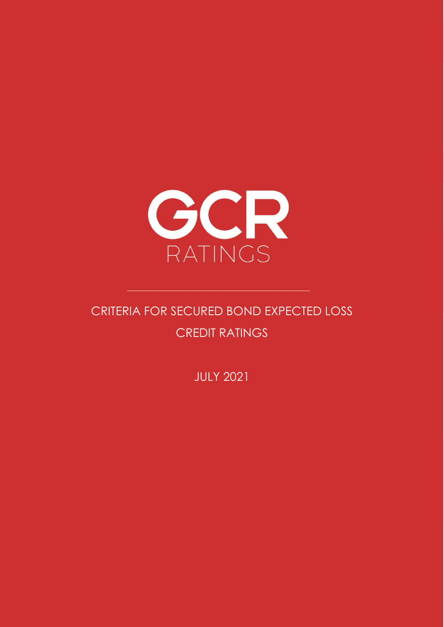

# CRITERIA FOR SECURED BOND EXPECTED LOSS CREDIT RATINGS

JULY 2021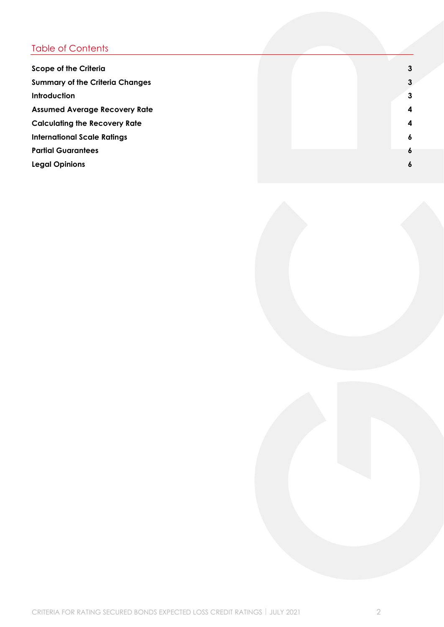## Table of Contents

| <b>Scope of the Criteria</b>           | $\mathbf{3}$            |
|----------------------------------------|-------------------------|
| <b>Summary of the Criteria Changes</b> | $\mathbf{3}$            |
| <b>Introduction</b>                    | $\mathbf{3}$            |
| <b>Assumed Average Recovery Rate</b>   | $\overline{\mathbf{4}}$ |
| <b>Calculating the Recovery Rate</b>   | $\overline{\mathbf{4}}$ |
| <b>International Scale Ratings</b>     | 6                       |
| <b>Partial Guarantees</b>              | 6                       |
| <b>Legal Opinions</b>                  | 6                       |
|                                        |                         |

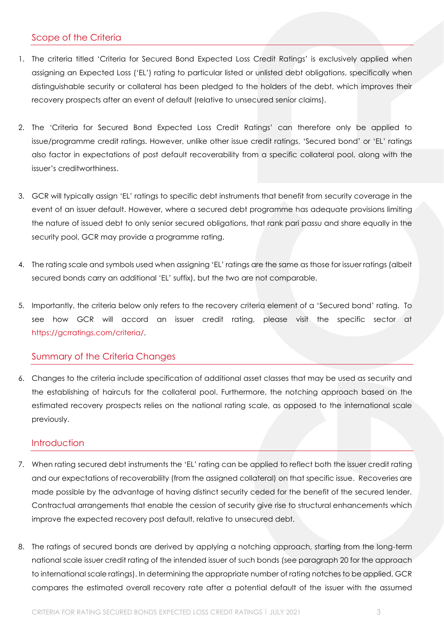#### <span id="page-2-0"></span>Scope of the Criteria

- 1. The criteria titled 'Criteria for Secured Bond Expected Loss Credit Ratings' is exclusively applied when assigning an Expected Loss ('EL') rating to particular listed or unlisted debt obligations, specifically when distinguishable security or collateral has been pledged to the holders of the debt, which improves their recovery prospects after an event of default (relative to unsecured senior claims).
- 2. The 'Criteria for Secured Bond Expected Loss Credit Ratings' can therefore only be applied to issue/programme credit ratings. However, unlike other issue credit ratings, 'Secured bond' or 'EL' ratings also factor in expectations of post default recoverability from a specific collateral pool, along with the issuer's creditworthiness.
- 3. GCR will typically assign 'EL' ratings to specific debt instruments that benefit from security coverage in the event of an issuer default. However, where a secured debt programme has adequate provisions limiting the nature of issued debt to only senior secured obligations, that rank pari passu and share equally in the security pool, GCR may provide a programme rating.
- 4. The rating scale and symbols used when assigning 'EL' ratings are the same as those for issuer ratings (albeit secured bonds carry an additional 'EL' suffix), but the two are not comparable.
- 5. Importantly, the criteria below only refers to the recovery criteria element of a 'Secured bond' rating. To see how GCR will accord an issuer credit rating, please visit the specific sector at [https://gcrratings.com/criteria/.](https://gcrratings.com/criteria/)

#### <span id="page-2-1"></span>Summary of the Criteria Changes

6. Changes to the criteria include specification of additional asset classes that may be used as security and the establishing of haircuts for the collateral pool. Furthermore, the notching approach based on the estimated recovery prospects relies on the national rating scale, as opposed to the international scale previously.

#### <span id="page-2-2"></span>**Introduction**

- 7. When rating secured debt instruments the 'EL' rating can be applied to reflect both the issuer credit rating and our expectations of recoverability (from the assigned collateral) on that specific issue. Recoveries are made possible by the advantage of having distinct security ceded for the benefit of the secured lender. Contractual arrangements that enable the cession of security give rise to structural enhancements which improve the expected recovery post default, relative to unsecured debt.
- 8. The ratings of secured bonds are derived by applying a notching approach, starting from the long-term national scale issuer credit rating of the intended issuer of such bonds (see paragraph 20 for the approach to international scale ratings). In determining the appropriate number of rating notches to be applied, GCR compares the estimated overall recovery rate after a potential default of the issuer with the assumed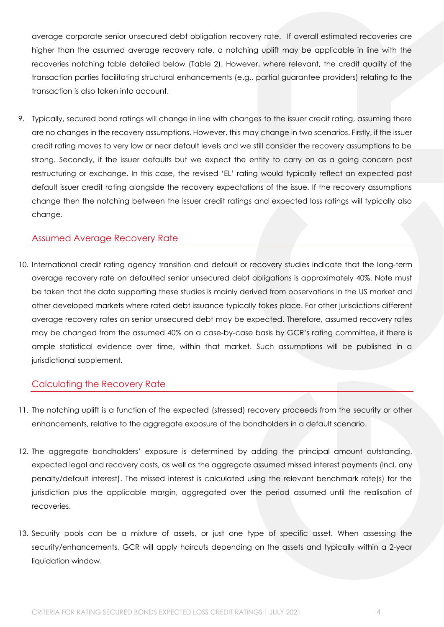average corporate senior unsecured debt obligation recovery rate. If overall estimated recoveries are higher than the assumed average recovery rate, a notching uplift may be applicable in line with the recoveries notching table detailed below (Table 2). However, where relevant, the credit quality of the transaction parties facilitating structural enhancements (e.g., partial guarantee providers) relating to the transaction is also taken into account.

9. Typically, secured bond ratings will change in line with changes to the issuer credit rating, assuming there are no changes in the recovery assumptions. However, this may change in two scenarios. Firstly, if the issuer credit rating moves to very low or near default levels and we still consider the recovery assumptions to be strong. Secondly, if the issuer defaults but we expect the entity to carry on as a going concern post restructuring or exchange. In this case, the revised 'EL' rating would typically reflect an expected post default issuer credit rating alongside the recovery expectations of the issue. If the recovery assumptions change then the notching between the issuer credit ratings and expected loss ratings will typically also change.

#### <span id="page-3-0"></span>Assumed Average Recovery Rate

10. International credit rating agency transition and default or recovery studies indicate that the long-term average recovery rate on defaulted senior unsecured debt obligations is approximately 40%. Note must be taken that the data supporting these studies is mainly derived from observations in the US market and other developed markets where rated debt issuance typically takes place. For other jurisdictions different average recovery rates on senior unsecured debt may be expected. Therefore, assumed recovery rates may be changed from the assumed 40% on a case-by-case basis by GCR's rating committee, if there is ample statistical evidence over time, within that market. Such assumptions will be published in a jurisdictional supplement.

#### <span id="page-3-1"></span>Calculating the Recovery Rate

- 11. The notching uplift is a function of the expected (stressed) recovery proceeds from the security or other enhancements, relative to the aggregate exposure of the bondholders in a default scenario.
- 12. The aggregate bondholders' exposure is determined by adding the principal amount outstanding, expected legal and recovery costs, as well as the aggregate assumed missed interest payments (incl. any penalty/default interest). The missed interest is calculated using the relevant benchmark rate(s) for the jurisdiction plus the applicable margin, aggregated over the period assumed until the realisation of recoveries.
- 13. Security pools can be a mixture of assets, or just one type of specific asset. When assessing the security/enhancements, GCR will apply haircuts depending on the assets and typically within a 2-year liquidation window.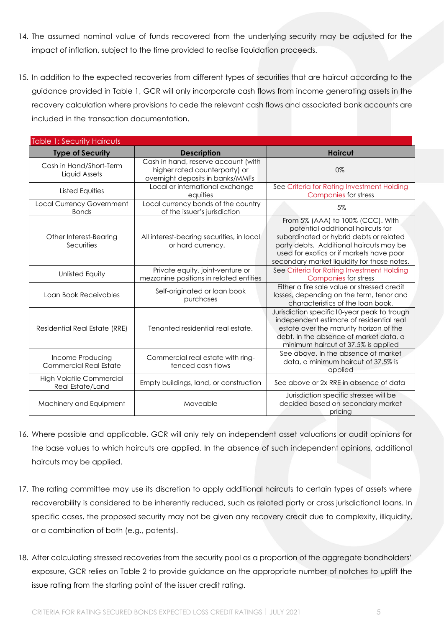- 14. The assumed nominal value of funds recovered from the underlying security may be adjusted for the impact of inflation, subject to the time provided to realise liquidation proceeds.
- 15. In addition to the expected recoveries from different types of securities that are haircut according to the guidance provided in Table 1, GCR will only incorporate cash flows from income generating assets in the recovery calculation where provisions to cede the relevant cash flows and associated bank accounts are included in the transaction documentation.

| <b>Table 1: Security Haircuts</b>                   |                                                                                                          |                                                                                                                                                                                                                                                         |
|-----------------------------------------------------|----------------------------------------------------------------------------------------------------------|---------------------------------------------------------------------------------------------------------------------------------------------------------------------------------------------------------------------------------------------------------|
| <b>Type of Security</b>                             | <b>Description</b>                                                                                       | <b>Haircut</b>                                                                                                                                                                                                                                          |
| Cash in Hand/Short-Term<br>Liquid Assets            | Cash in hand, reserve account (with<br>higher rated counterparty) or<br>overnight deposits in banks/MMFs | 0%                                                                                                                                                                                                                                                      |
| <b>Listed Equities</b>                              | Local or international exchange<br>equities                                                              | See Criteria for Rating Investment Holding<br><b>Companies for stress</b>                                                                                                                                                                               |
| <b>Local Currency Government</b><br><b>Bonds</b>    | Local currency bonds of the country<br>of the issuer's jurisdiction                                      | 5%                                                                                                                                                                                                                                                      |
| Other Interest-Bearing<br>Securities                | All interest-bearing securities, in local<br>or hard currency.                                           | From 5% (AAA) to 100% (CCC). With<br>potential additional haircuts for<br>subordinated or hybrid debts or related<br>party debts. Additional haircuts may be<br>used for exotics or if markets have poor<br>secondary market liquidity for those notes. |
| <b>Unlisted Equity</b>                              | Private equity, joint-venture or<br>mezzanine positions in related entities                              | See Criteria for Rating Investment Holding<br>Companies for stress                                                                                                                                                                                      |
| Loan Book Receivables                               | Self-originated or loan book<br>purchases                                                                | Either a fire sale value or stressed credit<br>losses, depending on the term, tenor and<br>characteristics of the loan book.                                                                                                                            |
| Residential Real Estate (RRE)                       | Tenanted residential real estate.                                                                        | Jurisdiction specific 10-year peak to trough<br>independent estimate of residential real<br>estate over the maturity horizon of the<br>debt. In the absence of market data, a<br>minimum haircut of 37.5% is applied                                    |
| Income Producing<br><b>Commercial Real Estate</b>   | Commercial real estate with ring-<br>fenced cash flows                                                   | See above. In the absence of market<br>data, a minimum haircut of 37.5% is<br>applied                                                                                                                                                                   |
| <b>High Volatile Commercial</b><br>Real Estate/Land | Empty buildings, land, or construction                                                                   | See above or 2x RRE in absence of data                                                                                                                                                                                                                  |
| Machinery and Equipment                             | Moveable                                                                                                 | Jurisdiction specific stresses will be<br>decided based on secondary market<br>pricing                                                                                                                                                                  |

- 16. Where possible and applicable, GCR will only rely on independent asset valuations or audit opinions for the base values to which haircuts are applied. In the absence of such independent opinions, additional haircuts may be applied.
- 17. The rating committee may use its discretion to apply additional haircuts to certain types of assets where recoverability is considered to be inherently reduced, such as related party or cross jurisdictional loans. In specific cases, the proposed security may not be given any recovery credit due to complexity, illiquidity, or a combination of both (e.g., patents).
- 18. After calculating stressed recoveries from the security pool as a proportion of the aggregate bondholders' exposure, GCR relies on Table 2 to provide guidance on the appropriate number of notches to uplift the issue rating from the starting point of the issuer credit rating.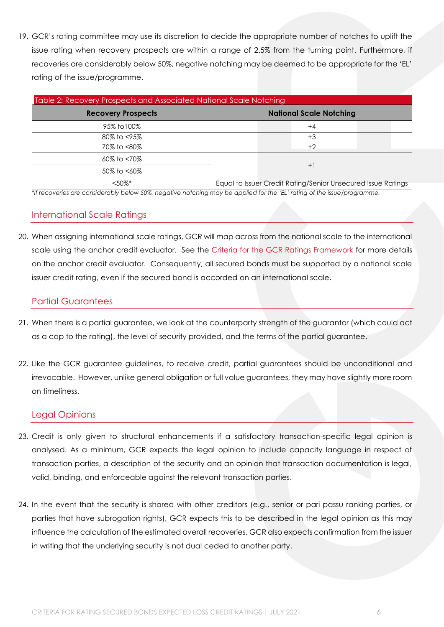19. GCR's rating committee may use its discretion to decide the appropriate number of notches to uplift the issue rating when recovery prospects are within a range of 2.5% from the turning point. Furthermore, if recoveries are considerably below 50%, negative notching may be deemed to be appropriate for the 'EL' rating of the issue/programme.

| Table 2: Recovery Prospects and Associated National Scale Notching |                                                                |  |
|--------------------------------------------------------------------|----------------------------------------------------------------|--|
| <b>Recovery Prospects</b>                                          | <b>National Scale Notching</b>                                 |  |
| 95% to 100%                                                        | $+4$                                                           |  |
| 80% to <95%                                                        | +3                                                             |  |
| 70% to <80%                                                        | $+2$                                                           |  |
| 60% to <70%                                                        |                                                                |  |
| 50% to <60%                                                        | $+$                                                            |  |
| $\tan 75007*$                                                      | Equal to Issuer Cradit Pating (Sepier Unsequend Issue Patings) |  |

*\*If recoveries are considerably below 50%, negative notching may be applied for the 'EL' rating of the issue/programme.* <50%\* Equal to Issuer Credit Rating/Senior Unsecured Issue Ratings

#### <span id="page-5-0"></span>International Scale Ratings

20. When assigning international scale ratings, GCR will map across from the national scale to the international scale using the anchor credit evaluator. See the [Criteria for the GCR Ratings Framework](https://gcrratings.com/criteria/) for more details on the anchor credit evaluator. Consequently, all secured bonds must be supported by a national scale issuer credit rating, even if the secured bond is accorded on an international scale.

#### <span id="page-5-1"></span>Partial Guarantees

- 21. When there is a partial guarantee, we look at the counterparty strength of the guarantor (which could act as a cap to the rating), the level of security provided, and the terms of the partial guarantee.
- 22. Like the GCR guarantee guidelines, to receive credit, partial guarantees should be unconditional and irrevocable. However, unlike general obligation or full value guarantees, they may have slightly more room on timeliness.

#### <span id="page-5-2"></span>Legal Opinions

- 23. Credit is only given to structural enhancements if a satisfactory transaction-specific legal opinion is analysed. As a minimum, GCR expects the legal opinion to include capacity language in respect of transaction parties, a description of the security and an opinion that transaction documentation is legal, valid, binding, and enforceable against the relevant transaction parties.
- 24. In the event that the security is shared with other creditors (e.g., senior or pari passu ranking parties, or parties that have subrogation rights), GCR expects this to be described in the legal opinion as this may influence the calculation of the estimated overall recoveries. GCR also expects confirmation from the issuer in writing that the underlying security is not dual ceded to another party.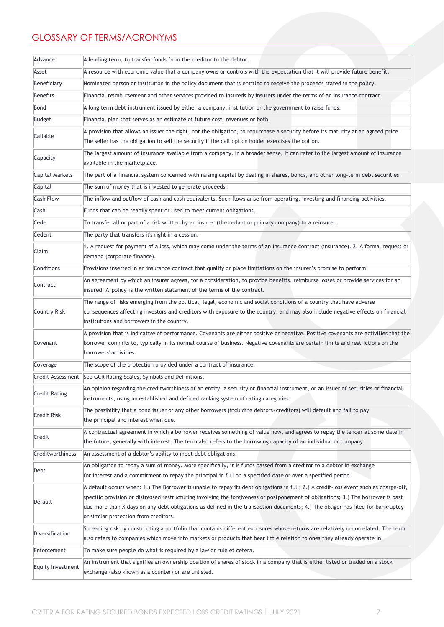### GLOSSARY OF TERMS/ACRONYMS

| Advance                | A lending term, to transfer funds from the creditor to the debtor.                                                                                                                                                                                                                                                                                                                                                                                   |  |
|------------------------|------------------------------------------------------------------------------------------------------------------------------------------------------------------------------------------------------------------------------------------------------------------------------------------------------------------------------------------------------------------------------------------------------------------------------------------------------|--|
| Asset                  | A resource with economic value that a company owns or controls with the expectation that it will provide future benefit.                                                                                                                                                                                                                                                                                                                             |  |
| Beneficiary            | Nominated person or institution in the policy document that is entitled to receive the proceeds stated in the policy.                                                                                                                                                                                                                                                                                                                                |  |
| Benefits               | Financial reimbursement and other services provided to insureds by insurers under the terms of an insurance contract.                                                                                                                                                                                                                                                                                                                                |  |
| Bond                   | A long term debt instrument issued by either a company, institution or the government to raise funds.                                                                                                                                                                                                                                                                                                                                                |  |
| Budget                 | Financial plan that serves as an estimate of future cost, revenues or both.                                                                                                                                                                                                                                                                                                                                                                          |  |
| Callable               | A provision that allows an Issuer the right, not the obligation, to repurchase a security before its maturity at an agreed price.<br>The seller has the obligation to sell the security if the call option holder exercises the option.                                                                                                                                                                                                              |  |
| Capacity               | The largest amount of insurance available from a company. In a broader sense, it can refer to the largest amount of insurance<br>available in the marketplace.                                                                                                                                                                                                                                                                                       |  |
| <b>Capital Markets</b> | The part of a financial system concerned with raising capital by dealing in shares, bonds, and other long-term debt securities.                                                                                                                                                                                                                                                                                                                      |  |
| Capital                | The sum of money that is invested to generate proceeds.                                                                                                                                                                                                                                                                                                                                                                                              |  |
| <b>Cash Flow</b>       | The inflow and outflow of cash and cash equivalents. Such flows arise from operating, investing and financing activities.                                                                                                                                                                                                                                                                                                                            |  |
| Cash                   | Funds that can be readily spent or used to meet current obligations.                                                                                                                                                                                                                                                                                                                                                                                 |  |
| Cede                   | To transfer all or part of a risk written by an insurer (the cedant or primary company) to a reinsurer.                                                                                                                                                                                                                                                                                                                                              |  |
| Cedent                 | The party that transfers it's right in a cession.                                                                                                                                                                                                                                                                                                                                                                                                    |  |
| Claim                  | 1. A request for payment of a loss, which may come under the terms of an insurance contract (insurance). 2. A formal request or<br>demand (corporate finance).                                                                                                                                                                                                                                                                                       |  |
| Conditions             | Provisions inserted in an insurance contract that qualify or place limitations on the insurer's promise to perform.                                                                                                                                                                                                                                                                                                                                  |  |
| Contract               | An agreement by which an insurer agrees, for a consideration, to provide benefits, reimburse losses or provide services for an<br>insured. A 'policy' is the written statement of the terms of the contract.                                                                                                                                                                                                                                         |  |
| Country Risk           | The range of risks emerging from the political, legal, economic and social conditions of a country that have adverse<br>consequences affecting investors and creditors with exposure to the country, and may also include negative effects on financial<br>institutions and borrowers in the country.                                                                                                                                                |  |
| Covenant               | A provision that is indicative of performance. Covenants are either positive or negative. Positive covenants are activities that the<br>borrower commits to, typically in its normal course of business. Negative covenants are certain limits and restrictions on the<br>borrowers' activities.                                                                                                                                                     |  |
| Coverage               | The scope of the protection provided under a contract of insurance.                                                                                                                                                                                                                                                                                                                                                                                  |  |
|                        | Credit Assessment   See GCR Rating Scales, Symbols and Definitions.                                                                                                                                                                                                                                                                                                                                                                                  |  |
| <b>Credit Rating</b>   | An opinion regarding the creditworthiness of an entity, a security or financial instrument, or an issuer of securities or financial<br>instruments, using an established and defined ranking system of rating categories.                                                                                                                                                                                                                            |  |
| Credit Risk            | The possibility that a bond issuer or any other borrowers (including debtors/creditors) will default and fail to pay<br>the principal and interest when due.                                                                                                                                                                                                                                                                                         |  |
| Credit                 | A contractual agreement in which a borrower receives something of value now, and agrees to repay the lender at some date in<br>the future, generally with interest. The term also refers to the borrowing capacity of an individual or company                                                                                                                                                                                                       |  |
| Creditworthiness       | An assessment of a debtor's ability to meet debt obligations.                                                                                                                                                                                                                                                                                                                                                                                        |  |
| Debt                   | An obligation to repay a sum of money. More specifically, it is funds passed from a creditor to a debtor in exchange<br>for interest and a commitment to repay the principal in full on a specified date or over a specified period.                                                                                                                                                                                                                 |  |
| Default                | A default occurs when: 1.) The Borrower is unable to repay its debt obligations in full; 2.) A credit-loss event such as charge-off,<br>specific provision or distressed restructuring involving the forgiveness or postponement of obligations; 3.) The borrower is past<br>due more than X days on any debt obligations as defined in the transaction documents; 4.) The obligor has filed for bankruptcy<br>or similar protection from creditors. |  |
| Diversification        | Spreading risk by constructing a portfolio that contains different exposures whose returns are relatively uncorrelated. The term<br>also refers to companies which move into markets or products that bear little relation to ones they already operate in.                                                                                                                                                                                          |  |
| Enforcement            | To make sure people do what is required by a law or rule et cetera.                                                                                                                                                                                                                                                                                                                                                                                  |  |
| Equity Investment      | An instrument that signifies an ownership position of shares of stock in a company that is either listed or traded on a stock<br>exchange (also known as a counter) or are unlisted.                                                                                                                                                                                                                                                                 |  |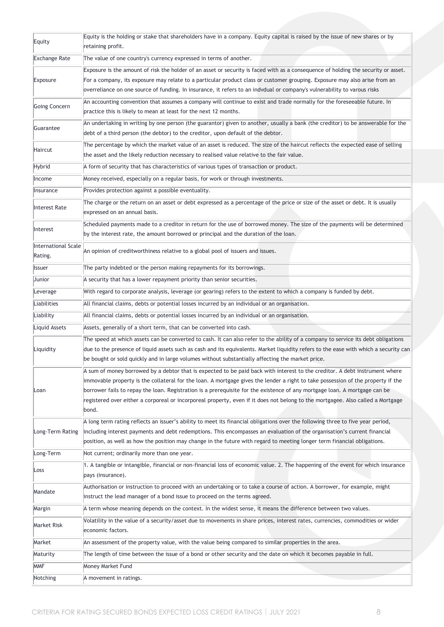| Equity                         | Equity is the holding or stake that shareholders have in a company. Equity capital is raised by the issue of new shares or by<br>retaining profit.                                                                                                                                                                                                                                                                                                                                                                                        |
|--------------------------------|-------------------------------------------------------------------------------------------------------------------------------------------------------------------------------------------------------------------------------------------------------------------------------------------------------------------------------------------------------------------------------------------------------------------------------------------------------------------------------------------------------------------------------------------|
| <b>Exchange Rate</b>           | The value of one country's currency expressed in terms of another.                                                                                                                                                                                                                                                                                                                                                                                                                                                                        |
| Exposure                       | Exposure is the amount of risk the holder of an asset or security is faced with as a consequence of holding the security or asset.<br>For a company, its exposure may relate to a particular product class or customer grouping. Exposure may also arise from an<br>overreliance on one source of funding. In insurance, it refers to an indvdual or company's vulnerability to varous risks                                                                                                                                              |
| Going Concern                  | An accounting convention that assumes a company will continue to exist and trade normally for the foreseeable future. In<br>practice this is likely to mean at least for the next 12 months.                                                                                                                                                                                                                                                                                                                                              |
| Guarantee                      | An undertaking in writing by one person (the guarantor) given to another, usually a bank (the creditor) to be answerable for the<br>debt of a third person (the debtor) to the creditor, upon default of the debtor.                                                                                                                                                                                                                                                                                                                      |
| Haircut                        | The percentage by which the market value of an asset is reduced. The size of the haircut reflects the expected ease of selling<br>the asset and the likely reduction necessary to realised value relative to the fair value.                                                                                                                                                                                                                                                                                                              |
| Hybrid                         | A form of security that has characteristics of various types of transaction or product.                                                                                                                                                                                                                                                                                                                                                                                                                                                   |
| Income                         | Money received, especially on a regular basis, for work or through investments.                                                                                                                                                                                                                                                                                                                                                                                                                                                           |
| Insurance                      | Provides protection against a possible eventuality.                                                                                                                                                                                                                                                                                                                                                                                                                                                                                       |
| Interest Rate                  | The charge or the return on an asset or debt expressed as a percentage of the price or size of the asset or debt. It is usually<br>expressed on an annual basis.                                                                                                                                                                                                                                                                                                                                                                          |
| Interest                       | Scheduled payments made to a creditor in return for the use of borrowed money. The size of the payments will be determined<br>by the interest rate, the amount borrowed or principal and the duration of the loan.                                                                                                                                                                                                                                                                                                                        |
| International Scale<br>Rating. | An opinion of creditworthiness relative to a global pool of issuers and issues.                                                                                                                                                                                                                                                                                                                                                                                                                                                           |
| <b>Issuer</b>                  | The party indebted or the person making repayments for its borrowings.                                                                                                                                                                                                                                                                                                                                                                                                                                                                    |
| Junior                         | A security that has a lower repayment priority than senior securities.                                                                                                                                                                                                                                                                                                                                                                                                                                                                    |
| Leverage                       | With regard to corporate analysis, leverage (or gearing) refers to the extent to which a company is funded by debt.                                                                                                                                                                                                                                                                                                                                                                                                                       |
| Liabilities                    | All financial claims, debts or potential losses incurred by an individual or an organisation.                                                                                                                                                                                                                                                                                                                                                                                                                                             |
| Liability                      | All financial claims, debts or potential losses incurred by an individual or an organisation.                                                                                                                                                                                                                                                                                                                                                                                                                                             |
| Liquid Assets                  | Assets, generally of a short term, that can be converted into cash.                                                                                                                                                                                                                                                                                                                                                                                                                                                                       |
| Liquidity                      | The speed at which assets can be converted to cash. It can also refer to the ability of a company to service its debt obligations<br>due to the presence of liquid assets such as cash and its equivalents. Market liquidity refers to the ease with which a security can<br>be bought or sold quickly and in large volumes without substantially affecting the market price.                                                                                                                                                             |
| Loan                           | A sum of money borrowed by a debtor that is expected to be paid back with interest to the creditor. A debt instrument where<br>immovable property is the collateral for the loan. A mortgage gives the lender a right to take possession of the property if the<br>borrower fails to repay the loan. Registration is a prerequisite for the existence of any mortgage loan. A mortgage can be<br>registered over either a corporeal or incorporeal property, even if it does not belong to the mortgagee. Also called a Mortgage<br>bond. |
| Long-Term Rating               | A long term rating reflects an issuer's ability to meet its financial obligations over the following three to five year period,<br>including interest payments and debt redemptions. This encompasses an evaluation of the organisation's current financial<br>position, as well as how the position may change in the future with regard to meeting longer term financial obligations.                                                                                                                                                   |
| Long-Term                      | Not current; ordinarily more than one year.                                                                                                                                                                                                                                                                                                                                                                                                                                                                                               |
| Loss                           | 1. A tangible or intangible, financial or non-financial loss of economic value. 2. The happening of the event for which insurance<br>pays (insurance).                                                                                                                                                                                                                                                                                                                                                                                    |
| Mandate                        | Authorisation or instruction to proceed with an undertaking or to take a course of action. A borrower, for example, might<br>instruct the lead manager of a bond issue to proceed on the terms agreed.                                                                                                                                                                                                                                                                                                                                    |
| Margin                         | A term whose meaning depends on the context. In the widest sense, it means the difference between two values.                                                                                                                                                                                                                                                                                                                                                                                                                             |
| Market Risk                    | Volatility in the value of a security/asset due to movements in share prices, interest rates, currencies, commodities or wider<br>economic factors.                                                                                                                                                                                                                                                                                                                                                                                       |
| Market                         | An assessment of the property value, with the value being compared to similar properties in the area.                                                                                                                                                                                                                                                                                                                                                                                                                                     |
| Maturity                       | The length of time between the issue of a bond or other security and the date on which it becomes payable in full.                                                                                                                                                                                                                                                                                                                                                                                                                        |
| <b>MMF</b>                     | Money Market Fund                                                                                                                                                                                                                                                                                                                                                                                                                                                                                                                         |
| Notching                       | A movement in ratings.                                                                                                                                                                                                                                                                                                                                                                                                                                                                                                                    |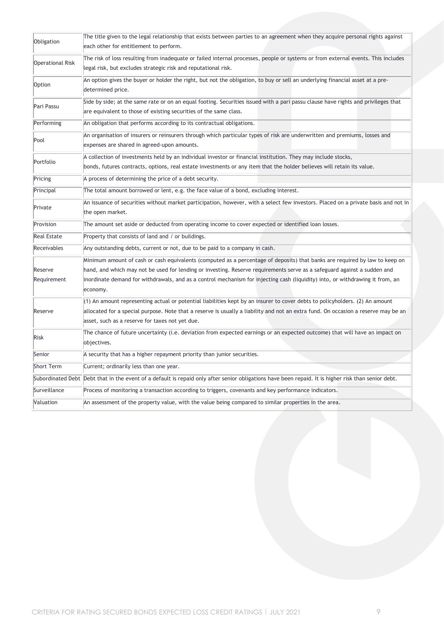| Obligation              | The title given to the legal relationship that exists between parties to an agreement when they acquire personal rights against                      |
|-------------------------|------------------------------------------------------------------------------------------------------------------------------------------------------|
|                         | each other for entitlement to perform.                                                                                                               |
| <b>Operational Risk</b> | The risk of loss resulting from inadequate or failed internal processes, people or systems or from external events. This includes                    |
|                         | legal risk, but excludes strategic risk and reputational risk.                                                                                       |
| Option                  | An option gives the buyer or holder the right, but not the obligation, to buy or sell an underlying financial asset at a pre-                        |
|                         | determined price.                                                                                                                                    |
| Pari Passu              | Side by side; at the same rate or on an equal footing. Securities issued with a pari passu clause have rights and privileges that                    |
|                         | are equivalent to those of existing securities of the same class.                                                                                    |
| Performing              | An obligation that performs according to its contractual obligations.                                                                                |
| Pool                    | An organisation of insurers or reinsurers through which particular types of risk are underwritten and premiums, losses and                           |
|                         | expenses are shared in agreed-upon amounts.                                                                                                          |
| Portfolio               | A collection of investments held by an individual investor or financial institution. They may include stocks,                                        |
|                         | bonds, futures contracts, options, real estate investments or any item that the holder believes will retain its value.                               |
| Pricing                 | A process of determining the price of a debt security.                                                                                               |
| Principal               | The total amount borrowed or lent, e.g. the face value of a bond, excluding interest.                                                                |
| Private                 | An issuance of securities without market participation, however, with a select few investors. Placed on a private basis and not in                   |
|                         | the open market.                                                                                                                                     |
| Provision               | The amount set aside or deducted from operating income to cover expected or identified loan losses.                                                  |
| <b>Real Estate</b>      | Property that consists of land and / or buildings.                                                                                                   |
| Receivables             | Any outstanding debts, current or not, due to be paid to a company in cash.                                                                          |
|                         | Minimum amount of cash or cash equivalents (computed as a percentage of deposits) that banks are required by law to keep on                          |
| Reserve                 | hand, and which may not be used for lending or investing. Reserve requirements serve as a safeguard against a sudden and                             |
| Requirement             | inordinate demand for withdrawals, and as a control mechanism for injecting cash (liquidity) into, or withdrawing it from, an                        |
|                         | economy.                                                                                                                                             |
|                         | (1) An amount representing actual or potential liabilities kept by an insurer to cover debts to policyholders. (2) An amount                         |
| Reserve                 | allocated for a special purpose. Note that a reserve is usually a liability and not an extra fund. On occasion a reserve may be an                   |
|                         | asset, such as a reserve for taxes not yet due.                                                                                                      |
| Risk                    | The chance of future uncertainty (i.e. deviation from expected earnings or an expected outcome) that will have an impact on                          |
|                         | objectives.                                                                                                                                          |
| Senior                  | A security that has a higher repayment priority than junior securities.                                                                              |
| Short Term              | Current; ordinarily less than one year.                                                                                                              |
|                         | Subordinated Debt  Debt that in the event of a default is repaid only after senior obligations have been repaid. It is higher risk than senior debt. |
| Surveillance            | Process of monitoring a transaction according to triggers, covenants and key performance indicators.                                                 |
| Valuation               | An assessment of the property value, with the value being compared to similar properties in the area.                                                |